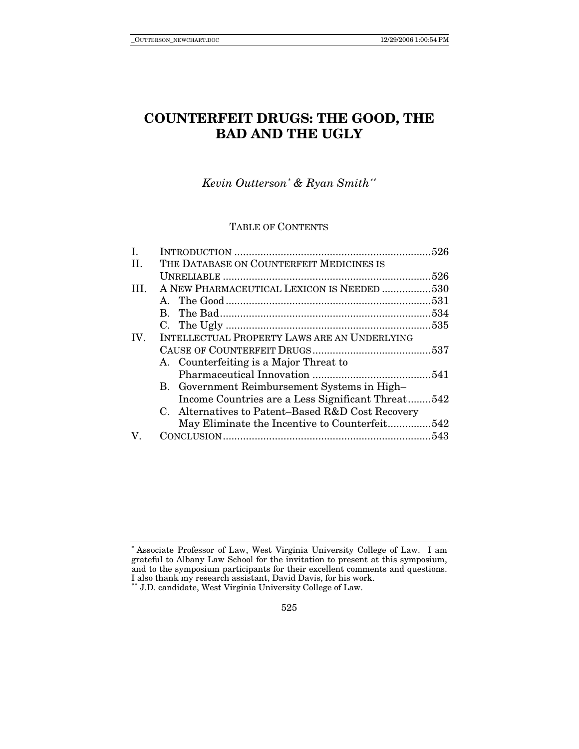# **COUNTERFEIT DRUGS: THE GOOD, THE BAD AND THE UGLY**

# *Kevin Outterson*∗ *& Ryan Smith*∗∗

### TABLE OF CONTENTS

| I.  |                                                     |  |
|-----|-----------------------------------------------------|--|
| II. | THE DATABASE ON COUNTERFEIT MEDICINES IS            |  |
|     |                                                     |  |
| TH. | A NEW PHARMACEUTICAL LEXICON IS NEEDED 530          |  |
|     |                                                     |  |
|     |                                                     |  |
|     |                                                     |  |
| IV. | <b>INTELLECTUAL PROPERTY LAWS ARE AN UNDERLYING</b> |  |
|     |                                                     |  |
|     | A. Counterfeiting is a Major Threat to              |  |
|     |                                                     |  |
|     | B. Government Reimbursement Systems in High-        |  |
|     | Income Countries are a Less Significant Threat542   |  |
|     | C. Alternatives to Patent-Based R&D Cost Recovery   |  |
|     | May Eliminate the Incentive to Counterfeit542       |  |
| V.  |                                                     |  |
|     |                                                     |  |

<sup>∗</sup> Associate Professor of Law, West Virginia University College of Law. I am grateful to Albany Law School for the invitation to present at this symposium, and to the symposium participants for their excellent comments and questions. I also thank my research assistant, David Davis, for his work. ∗∗ J.D. candidate, West Virginia University College of Law.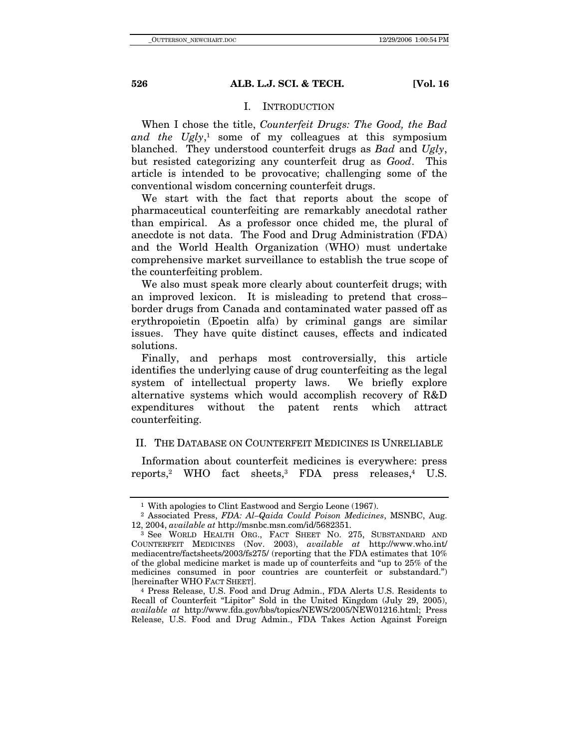### I. INTRODUCTION

When I chose the title, *Counterfeit Drugs: The Good, the Bad*  and the Ugly,<sup>1</sup> some of my colleagues at this symposium blanched. They understood counterfeit drugs as *Bad* and *Ugly*, but resisted categorizing any counterfeit drug as *Good*. This article is intended to be provocative; challenging some of the conventional wisdom concerning counterfeit drugs.

We start with the fact that reports about the scope of pharmaceutical counterfeiting are remarkably anecdotal rather than empirical. As a professor once chided me, the plural of anecdote is not data. The Food and Drug Administration (FDA) and the World Health Organization (WHO) must undertake comprehensive market surveillance to establish the true scope of the counterfeiting problem.

We also must speak more clearly about counterfeit drugs; with an improved lexicon. It is misleading to pretend that cross– border drugs from Canada and contaminated water passed off as erythropoietin (Epoetin alfa) by criminal gangs are similar issues. They have quite distinct causes, effects and indicated solutions.

Finally, and perhaps most controversially, this article identifies the underlying cause of drug counterfeiting as the legal system of intellectual property laws. We briefly explore alternative systems which would accomplish recovery of R&D expenditures without the patent rents which attract counterfeiting.

## II. THE DATABASE ON COUNTERFEIT MEDICINES IS UNRELIABLE

Information about counterfeit medicines is everywhere: press reports,<sup>2</sup> WHO fact sheets,<sup>3</sup> FDA press releases,<sup>4</sup> U.S.

<sup>1</sup> With apologies to Clint Eastwood and Sergio Leone (1967).

<sup>2</sup> Associated Press, *FDA: Al–Qaida Could Poison Medicines*, MSNBC, Aug. 12, 2004, *available at* http://msnbc.msn.com/id/5682351. 3 See WORLD HEALTH ORG., FACT SHEET NO. 275, SUBSTANDARD AND

COUNTERFEIT MEDICINES (Nov. 2003), *available at* http://www.who.int/ mediacentre/factsheets/2003/fs275/ (reporting that the FDA estimates that 10% of the global medicine market is made up of counterfeits and "up to 25% of the medicines consumed in poor countries are counterfeit or substandard.") [hereinafter WHO FACT SHEET].

<sup>&</sup>lt;sup>4</sup> Press Release, U.S. Food and Drug Admin., FDA Alerts U.S. Residents to Recall of Counterfeit "Lipitor" Sold in the United Kingdom (July 29, 2005), *available at* http://www.fda.gov/bbs/topics/NEWS/2005/NEW01216.html; Press Release, U.S. Food and Drug Admin., FDA Takes Action Against Foreign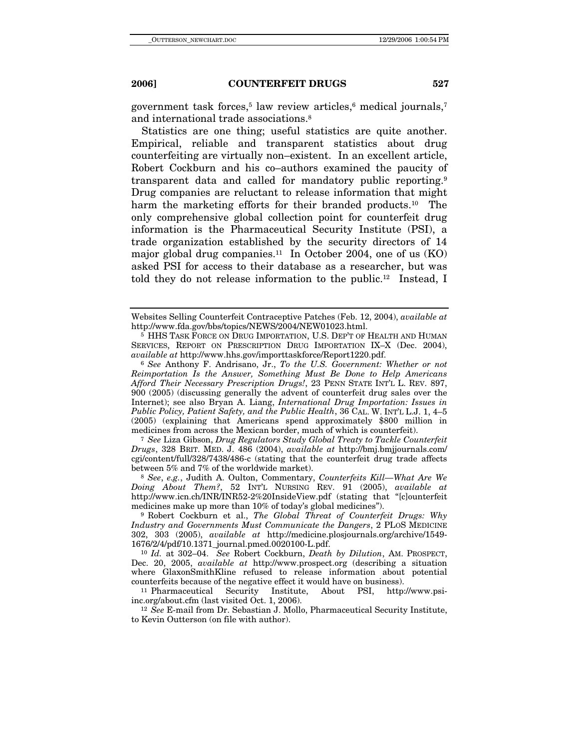government task forces,<sup>5</sup> law review articles,<sup>6</sup> medical journals,<sup>7</sup> and international trade associations.8

Statistics are one thing; useful statistics are quite another. Empirical, reliable and transparent statistics about drug counterfeiting are virtually non–existent. In an excellent article, Robert Cockburn and his co–authors examined the paucity of transparent data and called for mandatory public reporting.9 Drug companies are reluctant to release information that might harm the marketing efforts for their branded products.<sup>10</sup> The only comprehensive global collection point for counterfeit drug information is the Pharmaceutical Security Institute (PSI), a trade organization established by the security directors of 14 major global drug companies.<sup>11</sup> In October 2004, one of us  $(KO)$ asked PSI for access to their database as a researcher, but was told they do not release information to the public.12 Instead, I

 $6$  See Anthony F. Andrisano, Jr., *To the U.S. Government: Whether or not Reimportation Is the Answer, Something Must Be Done to Help Americans Afford Their Necessary Prescription Drugs!*, 23 PENN STATE INT'L L. REV. 897, 900 (2005) (discussing generally the advent of counterfeit drug sales over the Internet); see also Bryan A. Liang, *International Drug Importation: Issues in Public Policy, Patient Safety, and the Public Health*, 36 CAL. W. INT'L L.J. 1, 4–5 (2005) (explaining that Americans spend approximately \$800 million in

<sup>7</sup> See Liza Gibson, *Drug Regulators Study Global Treaty to Tackle Counterfeit Drugs*, 328 BRIT. MED. J. 486 (2004), *available at* http://bmj.bmjjournals.com/ cgi/content/full/328/7438/486-c (stating that the counterfeit drug trade affects between 5% and 7% of the worldwide market). 8 *See*, *e.g.*, Judith A. Oulton, Commentary, *Counterfeits Kill—What Are We* 

*Doing About Them?*, 52 INT'L NURSING REV. 91 (2005), *available at* http://www.icn.ch/INR/INR52-2%20InsideView.pdf (stating that "[c]ounterfeit medicines make up more than 10% of today's global medicines").

<sup>9</sup> Robert Cockburn et al., *The Global Threat of Counterfeit Drugs: Why Industry and Governments Must Communicate the Dangers*, 2 PLOS MEDICINE 302, 303 (2005), *available at* http://medicine.plosjournals.org/archive/1549- 1676/2/4/pdf/10.1371\_journal.pmed.0020100-L.pdf.

<sup>10</sup> *Id.* at 302–04. *See* Robert Cockburn, *Death by Dilution*, AM. PROSPECT, Dec. 20, 2005, *available at* http://www.prospect.org (describing a situation where GlaxonSmithKline refused to release information about potential counterfeits because of the negative effect it would have on business). 11 Pharmaceutical Security Institute, About PSI, http://www.psi-

inc.org/about.cfm (last visited Oct. 1, 2006).

<sup>12</sup> *See* E-mail from Dr. Sebastian J. Mollo, Pharmaceutical Security Institute, to Kevin Outterson (on file with author).

Websites Selling Counterfeit Contraceptive Patches (Feb. 12, 2004), *available at* http://www.fda.gov/bbs/topics/NEWS/2004/NEW01023.html.

<sup>5</sup> HHS TASK FORCE ON DRUG IMPORTATION, U.S. DEP'T OF HEALTH AND HUMAN SERVICES, REPORT ON PRESCRIPTION DRUG IMPORTATION IX–X (Dec. 2004), available at http://www.hhs.gov/importtaskforce/Report1220.pdf.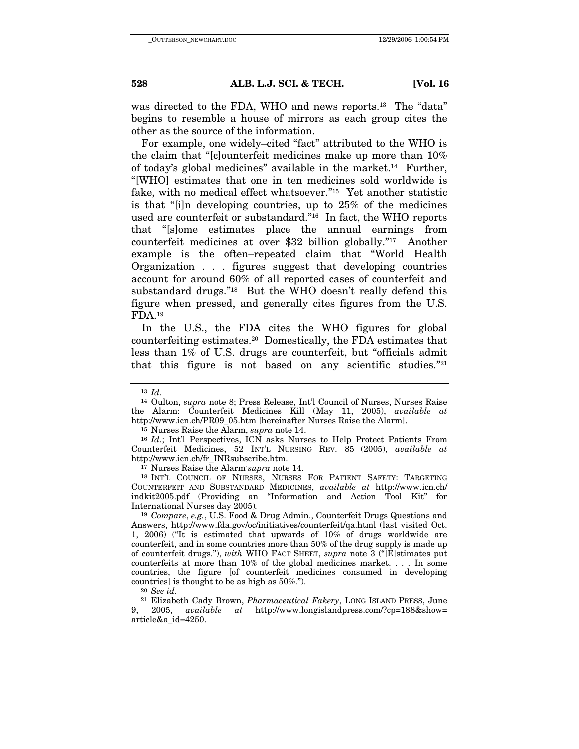was directed to the FDA, WHO and news reports.<sup>13</sup> The "data" begins to resemble a house of mirrors as each group cites the other as the source of the information.

For example, one widely–cited "fact" attributed to the WHO is the claim that "[c]ounterfeit medicines make up more than 10% of today's global medicines" available in the market.14 Further, "[WHO] estimates that one in ten medicines sold worldwide is fake, with no medical effect whatsoever."15 Yet another statistic is that "[i]n developing countries, up to 25% of the medicines used are counterfeit or substandard."16 In fact, the WHO reports that "[s]ome estimates place the annual earnings from counterfeit medicines at over \$32 billion globally."17 Another example is the often–repeated claim that "World Health Organization . . . figures suggest that developing countries account for around 60% of all reported cases of counterfeit and substandard drugs."<sup>18</sup> But the WHO doesn't really defend this figure when pressed, and generally cites figures from the U.S. FDA.19

In the U.S., the FDA cites the WHO figures for global counterfeiting estimates.20 Domestically, the FDA estimates that less than 1% of U.S. drugs are counterfeit, but "officials admit that this figure is not based on any scientific studies."<sup>21</sup>

<sup>17</sup> Nurses Raise the Alarm'supra note 14.

<sup>18</sup> INT'L COUNCIL OF NURSES, NURSES FOR PATIENT SAFETY: TARGETING COUNTERFEIT AND SUBSTANDARD MEDICINES, *available at* http://www.icn.ch/ indkit2005.pdf (Providing an "Information and Action Tool Kit" for International Nurses day 2005)*.*

<sup>19</sup> *Compare*, *e.g.*, U.S. Food & Drug Admin., Counterfeit Drugs Questions and Answers, http://www.fda.gov/oc/initiatives/counterfeit/qa.html (last visited Oct. 1, 2006) ("It is estimated that upwards of 10% of drugs worldwide are counterfeit, and in some countries more than 50% of the drug supply is made up of counterfeit drugs."), *with* WHO FACT SHEET, *supra* note 3 ("[E]stimates put counterfeits at more than 10% of the global medicines market. . . . In some countries, the figure [of counterfeit medicines consumed in developing countries] is thought to be as high as 50%.").

<sup>20</sup> *See id.*

<sup>21</sup> Elizabeth Cady Brown, *Pharmaceutical Fakery*, LONG ISLAND PRESS, June 9, 2005, *available at* http://www.longislandpress.com/?cp=188&show= article&a\_id=4250.

<sup>13</sup> *Id.*

<sup>14</sup> Oulton, *supra* note 8; Press Release, Int'l Council of Nurses, Nurses Raise the Alarm: Counterfeit Medicines Kill (May 11, 2005), *available at* http://www.icn.ch/PR09\_05.htm [hereinafter Nurses Raise the Alarm]. 15 Nurses Raise the Alarm, *supra* note 14.

<sup>&</sup>lt;sup>16</sup> *Id.*; Int'l Perspectives, ICN asks Nurses to Help Protect Patients From Counterfeit Medicines, 52 INT'L NURSING REV. 85 (2005), *available at*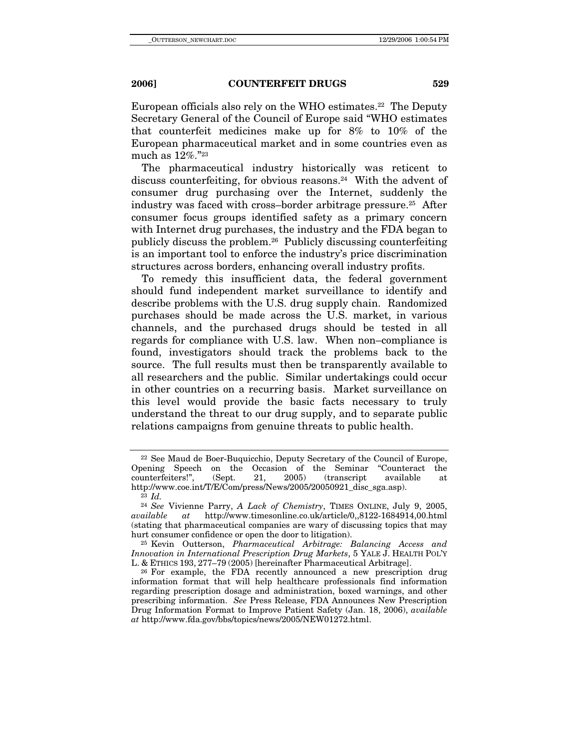European officials also rely on the WHO estimates.<sup>22</sup> The Deputy Secretary General of the Council of Europe said "WHO estimates that counterfeit medicines make up for 8% to 10% of the European pharmaceutical market and in some countries even as much as 12%."23

The pharmaceutical industry historically was reticent to discuss counterfeiting, for obvious reasons.24 With the advent of consumer drug purchasing over the Internet, suddenly the industry was faced with cross–border arbitrage pressure.25 After consumer focus groups identified safety as a primary concern with Internet drug purchases, the industry and the FDA began to publicly discuss the problem.26 Publicly discussing counterfeiting is an important tool to enforce the industry's price discrimination structures across borders, enhancing overall industry profits.

To remedy this insufficient data, the federal government should fund independent market surveillance to identify and describe problems with the U.S. drug supply chain. Randomized purchases should be made across the U.S. market, in various channels, and the purchased drugs should be tested in all regards for compliance with U.S. law. When non–compliance is found, investigators should track the problems back to the source. The full results must then be transparently available to all researchers and the public. Similar undertakings could occur in other countries on a recurring basis. Market surveillance on this level would provide the basic facts necessary to truly understand the threat to our drug supply, and to separate public relations campaigns from genuine threats to public health.

<sup>&</sup>lt;sup>22</sup> See Maud de Boer-Buquicchio, Deputy Secretary of the Council of Europe, bening Speech on the Occasion of the Seminar "Counteract the Opening Speech on the Occasion of the Seminar counterfeiters!", (Sept. 21, 2005) (transcript available at http://www.coe.int/T/E/Com/press/News/2005/20050921\_disc\_sga.asp). 23 *Id.*

<sup>24</sup> *See* Vivienne Parry, *A Lack of Chemistry*, TIMES ONLINE, July 9, 2005, *available at* http://www.timesonline.co.uk/article/0,,8122-1684914,00.html (stating that pharmaceutical companies are wary of discussing topics that may hurt consumer confidence or open the door to litigation). 25 Kevin Outterson, *Pharmaceutical Arbitrage: Balancing Access and* 

*Innovation in International Prescription Drug Markets*, 5 YALE J. HEALTH POL'Y L. & ETHICS 193, 277–79 (2005) [hereinafter Pharmaceutical Arbitrage]. 26 For example, the FDA recently announced a new prescription drug

information format that will help healthcare professionals find information regarding prescription dosage and administration, boxed warnings, and other prescribing information. *See* Press Release, FDA Announces New Prescription Drug Information Format to Improve Patient Safety (Jan. 18, 2006), *available at* http://www.fda.gov/bbs/topics/news/2005/NEW01272.html.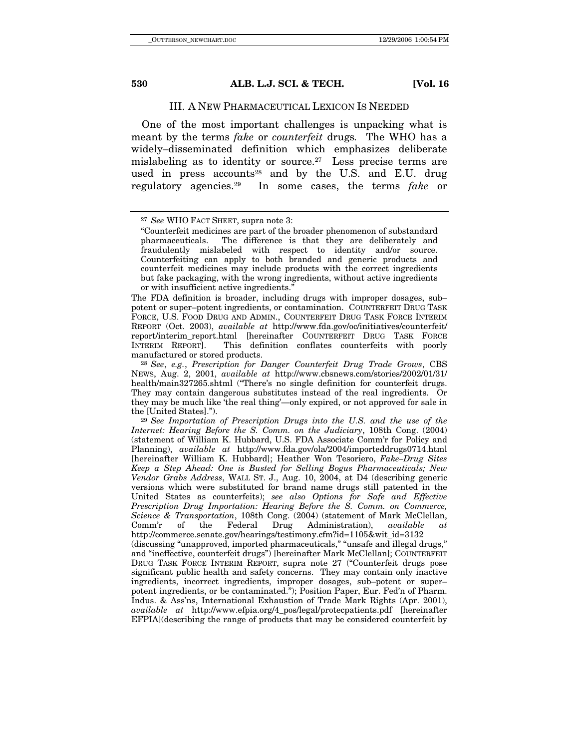### III. A NEW PHARMACEUTICAL LEXICON IS NEEDED

One of the most important challenges is unpacking what is meant by the terms *fake* or *counterfeit* drugs*.* The WHO has a widely–disseminated definition which emphasizes deliberate mislabeling as to identity or source.<sup>27</sup> Less precise terms are used in press accounts<sup>28</sup> and by the U.S. and E.U. drug regulatory agencies.29 In some cases, the terms *fake* or

The FDA definition is broader, including drugs with improper dosages, sub– potent or super–potent ingredients, or contamination. COUNTERFEIT DRUG TASK FORCE, U.S. FOOD DRUG AND ADMIN., COUNTERFEIT DRUG TASK FORCE INTERIM REPORT (Oct. 2003), *available at* http://www.fda.gov/oc/initiatives/counterfeit/ report/interim\_report.html [hereinafter COUNTERFEIT DRUG TASK FORCE<br>INTERIM REPORT]. This definition conflates counterfeits with poorly INTERIM REPORT]. This definition conflates counterfeits with poorly

<sup>28</sup> See, e.g., Prescription for Danger Counterfeit Drug Trade Grows, CBS NEWS, Aug. 2, 2001, *available at* http://www.cbsnews.com/stories/2002/01/31/ health/main327265.shtml ("There's no single definition for counterfeit drugs. They may contain dangerous substitutes instead of the real ingredients. Or they may be much like 'the real thing'—only expired, or not approved for sale in the [United States]."). 29 *See Importation of Prescription Drugs into the U.S. and the use of the* 

*Internet: Hearing Before the S. Comm. on the Judiciary*, 108th Cong. (2004) (statement of William K. Hubbard, U.S. FDA Associate Comm'r for Policy and Planning), *available at* http://www.fda.gov/ola/2004/importeddrugs0714.html [hereinafter William K. Hubbard]; Heather Won Tesoriero, *Fake–Drug Sites Keep a Step Ahead: One is Busted for Selling Bogus Pharmaceuticals; New Vendor Grabs Address*, WALL ST. J., Aug. 10, 2004, at D4 (describing generic versions which were substituted for brand name drugs still patented in the United States as counterfeits); *see also Options for Safe and Effective Prescription Drug Importation: Hearing Before the S. Comm. on Commerce, Science & Transportation*, 108th Cong. (2004) (statement of Mark McClellan, Comm'r of the Federal Drug Administration), *available at* Administration), *available at* http://commerce.senate.gov/hearings/testimony.cfm?id=1105&wit\_id=3132

(discussing "unapproved, imported pharmaceuticals," "unsafe and illegal drugs," and "ineffective, counterfeit drugs") [hereinafter Mark McClellan]; COUNTERFEIT DRUG TASK FORCE INTERIM REPORT, supra note 27 ("Counterfeit drugs pose significant public health and safety concerns. They may contain only inactive ingredients, incorrect ingredients, improper dosages, sub–potent or super– potent ingredients, or be contaminated."); Position Paper, Eur. Fed'n of Pharm. Indus. & Ass'ns, International Exhaustion of Trade Mark Rights (Apr. 2001), *available at* http://www.efpia.org/4\_pos/legal/protecpatients.pdf [hereinafter EFPIA](describing the range of products that may be considered counterfeit by

<sup>27</sup> *See* WHO FACT SHEET, supra note 3:

 <sup>&</sup>quot;Counterfeit medicines are part of the broader phenomenon of substandard The difference is that they are deliberately and fraudulently mislabeled with respect to identity and/or source. Counterfeiting can apply to both branded and generic products and counterfeit medicines may include products with the correct ingredients but fake packaging, with the wrong ingredients, without active ingredients or with insufficient active ingredients."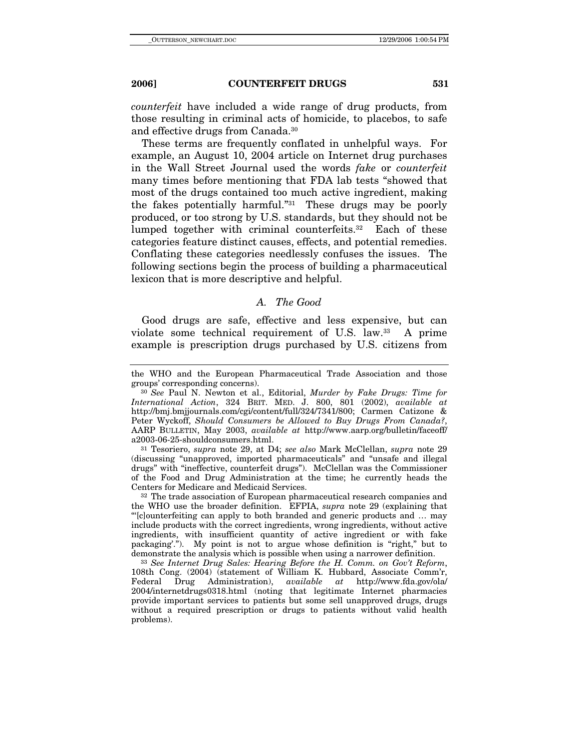*counterfeit* have included a wide range of drug products, from those resulting in criminal acts of homicide, to placebos, to safe and effective drugs from Canada.30

These terms are frequently conflated in unhelpful ways. For example, an August 10, 2004 article on Internet drug purchases in the Wall Street Journal used the words *fake* or *counterfeit* many times before mentioning that FDA lab tests "showed that most of the drugs contained too much active ingredient, making the fakes potentially harmful."31 These drugs may be poorly produced, or too strong by U.S. standards, but they should not be lumped together with criminal counterfeits.32 Each of these categories feature distinct causes, effects, and potential remedies. Conflating these categories needlessly confuses the issues. The following sections begin the process of building a pharmaceutical lexicon that is more descriptive and helpful.

### *A. The Good*

Good drugs are safe, effective and less expensive, but can violate some technical requirement of U.S. law.33 A prime example is prescription drugs purchased by U.S. citizens from

(discussing "unapproved, imported pharmaceuticals" and "unsafe and illegal drugs" with "ineffective, counterfeit drugs"). McClellan was the Commissioner of the Food and Drug Administration at the time; he currently heads the Centers for Medicare and Medicaid Services. 32 The trade association of European pharmaceutical research companies and

the WHO use the broader definition. EFPIA, *supra* note 29 (explaining that "'[c]ounterfeiting can apply to both branded and generic products and … may include products with the correct ingredients, wrong ingredients, without active ingredients, with insufficient quantity of active ingredient or with fake packaging'."). My point is not to argue whose definition is "right," but to demonstrate the analysis which is possible when using a narrower definition. 33 *See Internet Drug Sales: Hearing Before the H. Comm. on Gov't Reform*,

108th Cong. (2004) (statement of William K. Hubbard, Associate Comm'r,<br>Federal Drug Administration), *available at* http://www.fda.gov/ola/ Drug Administration), *available at* 2004/internetdrugs0318.html (noting that legitimate Internet pharmacies provide important services to patients but some sell unapproved drugs, drugs without a required prescription or drugs to patients without valid health problems).

the WHO and the European Pharmaceutical Trade Association and those groups' corresponding concerns). 30 *See* Paul N. Newton et al., Editorial, *Murder by Fake Drugs: Time for* 

*International Action*, 324 BRIT. MED. J. 800, 801 (2002), *available at* http://bmj.bmjjournals.com/cgi/content/full/324/7341/800; Carmen Catizone & Peter Wyckoff, *Should Consumers be Allowed to Buy Drugs From Canada?*, AARP BULLETIN, May 2003, *available at* http://www.aarp.org/bulletin/faceoff/ a2003-06-25-shouldconsumers.html. 31 Tesoriero, *supra* note 29, at D4; *see also* Mark McClellan, *supra* note 29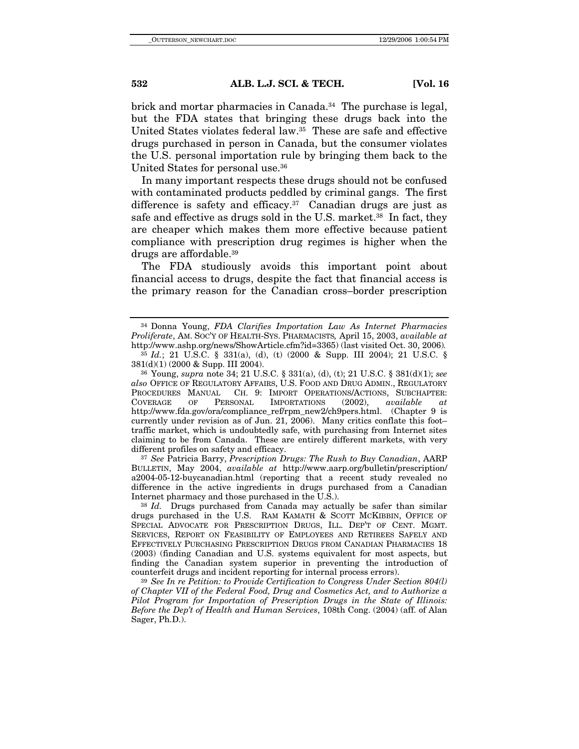brick and mortar pharmacies in Canada.<sup>34</sup> The purchase is legal, but the FDA states that bringing these drugs back into the United States violates federal law.35 These are safe and effective drugs purchased in person in Canada, but the consumer violates the U.S. personal importation rule by bringing them back to the United States for personal use.36

In many important respects these drugs should not be confused with contaminated products peddled by criminal gangs. The first difference is safety and efficacy.<sup>37</sup> Canadian drugs are just as safe and effective as drugs sold in the U.S. market.<sup>38</sup> In fact, they are cheaper which makes them more effective because patient compliance with prescription drug regimes is higher when the drugs are affordable.39

The FDA studiously avoids this important point about financial access to drugs, despite the fact that financial access is the primary reason for the Canadian cross–border prescription

*also* OFFICE OF REGULATORY AFFAIRS, U.S. FOOD AND DRUG ADMIN., REGULATORY PROCEDURES MANUAL CH. 9: IMPORT OPERATIONS/ACTIONS, SUBCHAPTER: COVERAGE OF PERSONAL IMPORTATIONS (2002), *available at*  http://www.fda.gov/ora/compliance\_ref/rpm\_new2/ch9pers.html. (Chapter 9 is currently under revision as of Jun. 21, 2006).Many critics conflate this foot– traffic market, which is undoubtedly safe, with purchasing from Internet sites claiming to be from Canada. These are entirely different markets, with very different profiles on safety and efficacy. 37 *See* Patricia Barry, *Prescription Drugs: The Rush to Buy Canadian*, AARP

BULLETIN, May 2004, *available at* http://www.aarp.org/bulletin/prescription/ a2004-05-12-buycanadian.html (reporting that a recent study revealed no difference in the active ingredients in drugs purchased from a Canadian Internet pharmacy and those purchased in the U.S.). 38 *Id.* Drugs purchased from Canada may actually be safer than similar

drugs purchased in the U.S. RAM KAMATH & SCOTT MCKIBBIN, OFFICE OF SPECIAL ADVOCATE FOR PRESCRIPTION DRUGS, ILL. DEP'T OF CENT. MGMT. SERVICES, REPORT ON FEASIBILITY OF EMPLOYEES AND RETIREES SAFELY AND EFFECTIVELY PURCHASING PRESCRIPTION DRUGS FROM CANADIAN PHARMACIES 18 (2003) (finding Canadian and U.S. systems equivalent for most aspects, but finding the Canadian system superior in preventing the introduction of counterfeit drugs and incident reporting for internal process errors).

<sup>39</sup> See In re Petition: to Provide Certification to Congress Under Section 804(l) *of Chapter VII of the Federal Food, Drug and Cosmetics Act, and to Authorize a Pilot Program for Importation of Prescription Drugs in the State of Illinois: Before the Dep't of Health and Human Services*, 108th Cong. (2004) (aff. of Alan Sager, Ph.D.).

<sup>34</sup> Donna Young, *FDA Clarifies Importation Law As Internet Pharmacies Proliferate*, AM. SOC'Y OF HEALTH-SYS. PHARMACISTS*,* April 15, 2003, *available at*  http://www.ashp.org/news/ShowArticle.cfm?id=3365) (last visited Oct. 30, 2006)*.*

<sup>35</sup> *Id.*; 21 U.S.C. § 331(a), (d), (t) (2000 & Supp. III 2004); 21 U.S.C. § 381(d)(1) (2000 & Supp. III 2004). 36 Young, *supra* note 34; 21 U.S.C. § 331(a), (d), (t); 21 U.S.C. § 381(d)(1); *see*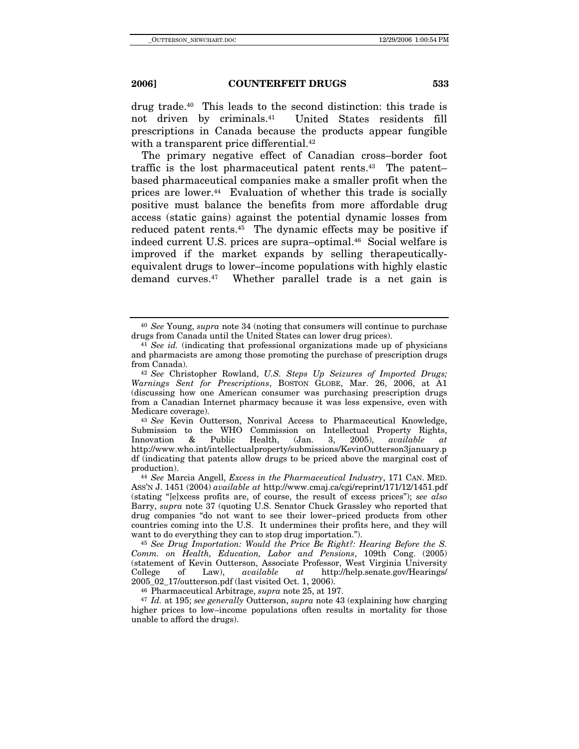drug trade.40 This leads to the second distinction: this trade is not driven by criminals.41 United States residents fill prescriptions in Canada because the products appear fungible with a transparent price differential.<sup>42</sup>

The primary negative effect of Canadian cross–border foot traffic is the lost pharmaceutical patent rents.<sup>43</sup> The patentbased pharmaceutical companies make a smaller profit when the prices are lower.44 Evaluation of whether this trade is socially positive must balance the benefits from more affordable drug access (static gains) against the potential dynamic losses from reduced patent rents.<sup>45</sup> The dynamic effects may be positive if indeed current U.S. prices are supra–optimal.46 Social welfare is improved if the market expands by selling therapeuticallyequivalent drugs to lower–income populations with highly elastic demand curves.47 Whether parallel trade is a net gain is

Submission to the WHO Commission on Intellectual Property Rights, Innovation & Public Health, (Jan. 3, 2005), *available at* http://www.who.int/intellectualproperty/submissions/KevinOutterson3january.p df (indicating that patents allow drugs to be priced above the marginal cost of production). 44 *See* Marcia Angell, *Excess in the Pharmaceutical Industry*, 171 CAN. MED.

ASS'N J. 1451 (2004) *available at* http://www.cmaj.ca/cgi/reprint/171/12/1451.pdf (stating "[e]xcess profits are, of course, the result of excess prices"); *see also* Barry, *supra* note 37 (quoting U.S. Senator Chuck Grassley who reported that drug companies "do not want to see their lower–priced products from other countries coming into the U.S. It undermines their profits here, and they will want to do everything they can to stop drug importation.").

<sup>46</sup> Pharmaceutical Arbitrage, *supra* note 25, at 197.<br><sup>47</sup> *Id.* at 195; *see generally* Outterson, *supra* note 43 (explaining how charging higher prices to low–income populations often results in mortality for those unable to afford the drugs).

<sup>40</sup> *See* Young, *supra* note 34 (noting that consumers will continue to purchase drugs from Canada until the United States can lower drug prices). 41 *See id.* (indicating that professional organizations made up of physicians

and pharmacists are among those promoting the purchase of prescription drugs from Canada). 42 *See* Christopher Rowland, *U.S. Steps Up Seizures of Imported Drugs;* 

*Warnings Sent for Prescriptions*, BOSTON GLOBE, Mar. 26, 2006, at A1 (discussing how one American consumer was purchasing prescription drugs from a Canadian Internet pharmacy because it was less expensive, even with Medicare coverage). 43 *See* Kevin Outterson, Nonrival Access to Pharmaceutical Knowledge,

<sup>45</sup> *See Drug Importation: Would the Price Be Right?: Hearing Before the S. Comm. on Health, Education, Labor and Pensions*, 109th Cong. (2005) (statement of Kevin Outterson, Associate Professor, West Virginia University College of Law), *available at* http://help.senate.gov/Hearings/ College of Law), *available at* http://help.senate.gov/Hearings/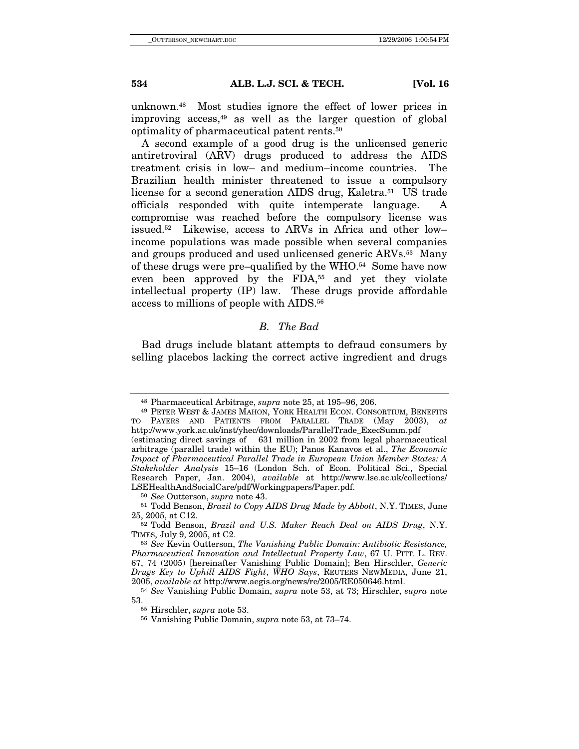unknown.48 Most studies ignore the effect of lower prices in improving access, $49$  as well as the larger question of global optimality of pharmaceutical patent rents.50

A second example of a good drug is the unlicensed generic antiretroviral (ARV) drugs produced to address the AIDS treatment crisis in low– and medium–income countries. The Brazilian health minister threatened to issue a compulsory license for a second generation AIDS drug, Kaletra.<sup>51</sup> US trade officials responded with quite intemperate language. A compromise was reached before the compulsory license was issued.52 Likewise, access to ARVs in Africa and other low– income populations was made possible when several companies and groups produced and used unlicensed generic ARVs.53 Many of these drugs were pre–qualified by the WHO.54 Some have now even been approved by the FDA,<sup>55</sup> and yet they violate intellectual property (IP) law. These drugs provide affordable access to millions of people with AIDS.56

## *B. The Bad*

Bad drugs include blatant attempts to defraud consumers by selling placebos lacking the correct active ingredient and drugs

<sup>48</sup> Pharmaceutical Arbitrage, *supra* note 25, at 195–96, 206. 49 PETER WEST & JAMES MAHON, YORK HEALTH ECON. CONSORTIUM, BENEFITS

TO PAYERS AND PATIENTS FROM PARALLEL TRADE (May 2003**)**, *at*  http://www.york.ac.uk/inst/yhec/downloads/ParallelTrade\_ExecSumm.pdf (estimating direct savings of 631 million in 2002 from legal pharmaceutical arbitrage (parallel trade) within the EU); Panos Kanavos et al., *The Economic Impact of Pharmaceutical Parallel Trade in European Union Member States: A Stakeholder Analysis* 15–16 (London Sch. of Econ. Political Sci., Special

Research Paper, Jan. 2004), *available* at http://www.lse.ac.uk/collections/

<sup>&</sup>lt;sup>50</sup> *See* Outterson, *supra* note 43. <sup>51</sup> Todd Benson, *Brazil to Copy AIDS Drug Made by Abbott*, N.Y. TIMES, June 25, 2005, at C12.

<sup>&</sup>lt;sup>52</sup> Todd Benson, *Brazil and U.S. Maker Reach Deal on AIDS Drug*, N.Y. TIMES, July 9, 2005, at C2. 53 *See* Kevin Outterson, *The Vanishing Public Domain: Antibiotic Resistance,* 

*Pharmaceutical Innovation and Intellectual Property Law*, 67 U. PITT. L. REV. 67, 74 (2005) [hereinafter Vanishing Public Domain]; Ben Hirschler, *Generic Drugs Key to Uphill AIDS Fight*, *WHO Says*, REUTERS NEWMEDIA, June 21,

<sup>2005,</sup> *available at* http://www.aegis.org/news/re/2005/RE050646.html. 54 *See* Vanishing Public Domain, *supra* note 53, at 73; Hirschler, *supra* note 53. 55 Hirschler, *supra* note 53. 56 Vanishing Public Domain, *supra* note 53, at 73–74.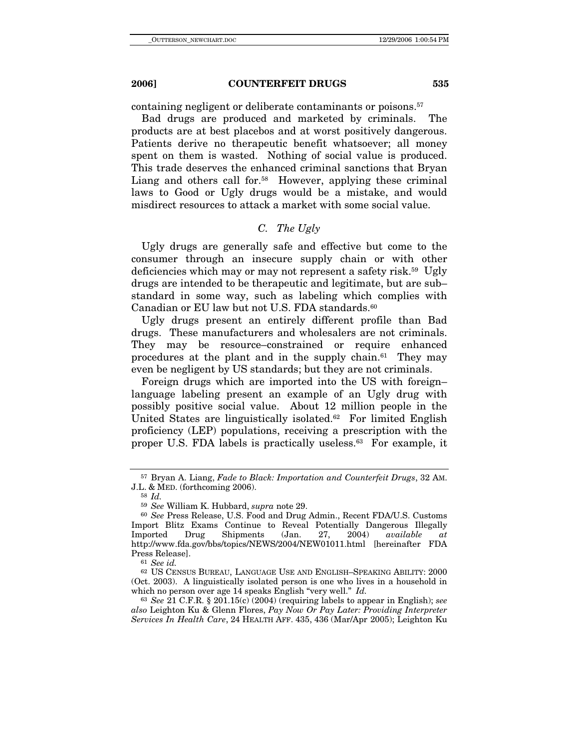containing negligent or deliberate contaminants or poisons.57

Bad drugs are produced and marketed by criminals. The products are at best placebos and at worst positively dangerous. Patients derive no therapeutic benefit whatsoever; all money spent on them is wasted. Nothing of social value is produced. This trade deserves the enhanced criminal sanctions that Bryan Liang and others call for.<sup>58</sup> However, applying these criminal laws to Good or Ugly drugs would be a mistake, and would misdirect resources to attack a market with some social value.

## *C. The Ugly*

Ugly drugs are generally safe and effective but come to the consumer through an insecure supply chain or with other deficiencies which may or may not represent a safety risk.59 Ugly drugs are intended to be therapeutic and legitimate, but are sub– standard in some way, such as labeling which complies with Canadian or EU law but not U.S. FDA standards.<sup>60</sup>

Ugly drugs present an entirely different profile than Bad drugs. These manufacturers and wholesalers are not criminals. They may be resource–constrained or require enhanced procedures at the plant and in the supply chain.61 They may even be negligent by US standards; but they are not criminals.

Foreign drugs which are imported into the US with foreign– language labeling present an example of an Ugly drug with possibly positive social value. About 12 million people in the United States are linguistically isolated.<sup>62</sup> For limited English proficiency (LEP) populations, receiving a prescription with the proper U.S. FDA labels is practically useless.63 For example, it

<sup>63</sup> *See* 21 C.F.R. § 201.15(c) (2004) (requiring labels to appear in English); *see also* Leighton Ku & Glenn Flores, *Pay Now Or Pay Later: Providing Interpreter Services In Health Care*, 24 HEALTH AFF. 435, 436 (Mar/Apr 2005); Leighton Ku

<sup>57</sup> Bryan A. Liang, *Fade to Black: Importation and Counterfeit Drugs*, 32 AM. J.L. & MED. (forthcoming 2006). 58 *Id.*

<sup>59</sup> *See* William K. Hubbard, *supra* note 29.

<sup>60</sup> *See* Press Release, U.S. Food and Drug Admin., Recent FDA/U.S. Customs Import Blitz Exams Continue to Reveal Potentially Dangerous Illegally Imported Drug Shipments (Jan. 27, 2004) *available at* http://www.fda.gov/bbs/topics/NEWS/2004/NEW01011.html [hereinafter FDA Press Release]. 61 *See id.*

<sup>62</sup> US CENSUS BUREAU, LANGUAGE USE AND ENGLISH–SPEAKING ABILITY: 2000 (Oct. 2003). A linguistically isolated person is one who lives in a household in which no person over age 14 speaks English "very well." *Id.*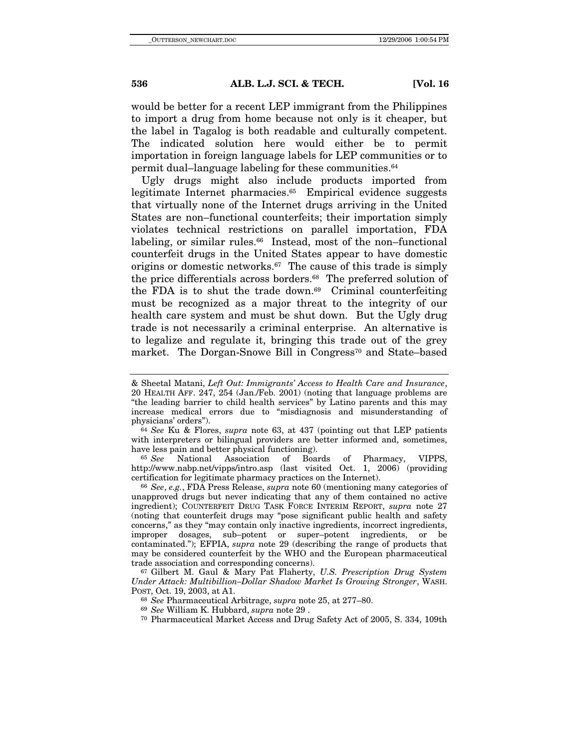would be better for a recent LEP immigrant from the Philippines to import a drug from home because not only is it cheaper, but the label in Tagalog is both readable and culturally competent. The indicated solution here would either be to permit importation in foreign language labels for LEP communities or to permit dual–language labeling for these communities.64

Ugly drugs might also include products imported from legitimate Internet pharmacies.<sup>65</sup> Empirical evidence suggests that virtually none of the Internet drugs arriving in the United States are non–functional counterfeits; their importation simply violates technical restrictions on parallel importation, FDA labeling, or similar rules.<sup>66</sup> Instead, most of the non–functional counterfeit drugs in the United States appear to have domestic origins or domestic networks.67 The cause of this trade is simply the price differentials across borders.68 The preferred solution of the FDA is to shut the trade down. $69$  Criminal counterfeiting must be recognized as a major threat to the integrity of our health care system and must be shut down. But the Ugly drug trade is not necessarily a criminal enterprise. An alternative is to legalize and regulate it, bringing this trade out of the grey market. The Dorgan-Snowe Bill in Congress<sup>70</sup> and State–based

have less pain and better physical functioning). 65 *See* National Association of Boards of Pharmacy, VIPPS, http://www.nabp.net/vipps/intro.asp (last visited Oct. 1, 2006) (providing certification for legitimate pharmacy practices on the Internet).

<sup>66</sup> *See*, *e.g.*, FDA Press Release, *supra* note 60 (mentioning many categories of unapproved drugs but never indicating that any of them contained no active ingredient); COUNTERFEIT DRUG TASK FORCE INTERIM REPORT, *supra* note 27 (noting that counterfeit drugs may "pose significant public health and safety concerns," as they "may contain only inactive ingredients, incorrect ingredients, improper dosages, sub–potent or super–potent ingredients, or be contaminated."); EFPIA, *supra* note 29 (describing the range of products that may be considered counterfeit by the WHO and the European pharmaceutical

trade association and corresponding concerns). 67 Gilbert M. Gaul & Mary Pat Flaherty, *U.S. Prescription Drug System Under Attack: Multibillion–Dollar Shadow Market Is Growing Stronger*, WASH. POST, Oct. 19, 2003, at A1. 68 *See* Pharmaceutical Arbitrage, *supra* note 25, at 277–80.

<sup>70</sup> Pharmaceutical Market Access and Drug Safety Act of 2005, S. 334, 109th

<sup>&</sup>amp; Sheetal Matani, *Left Out: Immigrants' Access to Health Care and Insurance*, 20 HEALTH AFF. 247, 254 (Jan./Feb. 2001) (noting that language problems are "the leading barrier to child health services" by Latino parents and this may increase medical errors due to "misdiagnosis and misunderstanding of

physicians' orders"). 64 *See* Ku & Flores, *supra* note 63, at 437 (pointing out that LEP patients with interpreters or bilingual providers are better informed and, sometimes,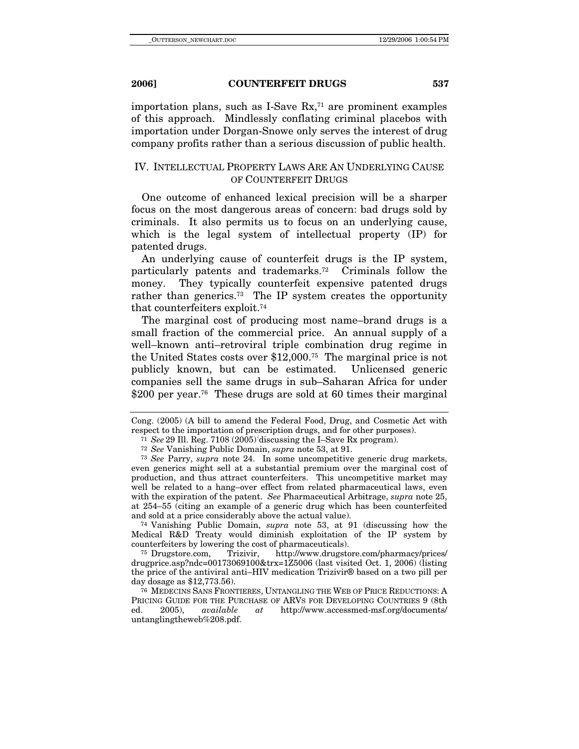importation plans, such as I-Save  $Rx<sub>1</sub>$ <sup>1</sup> are prominent examples of this approach. Mindlessly conflating criminal placebos with importation under Dorgan-Snowe only serves the interest of drug company profits rather than a serious discussion of public health.

## IV. INTELLECTUAL PROPERTY LAWS ARE AN UNDERLYING CAUSE OF COUNTERFEIT DRUGS

One outcome of enhanced lexical precision will be a sharper focus on the most dangerous areas of concern: bad drugs sold by criminals. It also permits us to focus on an underlying cause, which is the legal system of intellectual property (IP) for patented drugs.

An underlying cause of counterfeit drugs is the IP system, particularly patents and trademarks.72 Criminals follow the money. They typically counterfeit expensive patented drugs rather than generics.73 The IP system creates the opportunity that counterfeiters exploit.74

The marginal cost of producing most name–brand drugs is a small fraction of the commercial price. An annual supply of a well–known anti–retroviral triple combination drug regime in the United States costs over \$12,000.75 The marginal price is not publicly known, but can be estimated. Unlicensed generic companies sell the same drugs in sub–Saharan Africa for under \$200 per year.<sup>76</sup> These drugs are sold at 60 times their marginal

<sup>74</sup> Vanishing Public Domain, *supra* note 53, at 91 (discussing how the Medical R&D Treaty would diminish exploitation of the IP system by counterfeiters by lowering the cost of pharmaceuticals).

<sup>75</sup> Drugstore.com, Trizivir, http://www.drugstore.com/pharmacy/prices/ drugprice.asp?ndc=00173069100&trx=1Z5006 (last visited Oct. 1, 2006) (listing the price of the antiviral anti–HIV medication Trizivir® based on a two pill per day dosage as \$12,773.56).

<sup>76</sup> MEDECINS SANS FRONTIERES, UNTANGLING THE WEB OF PRICE REDUCTIONS: A PRICING GUIDE FOR THE PURCHASE OF ARVS FOR DEVELOPING COUNTRIES 9 (8th ed. 2005), available at http://www.accessmed-msf.org/documents/ ed. 2005), *available at* http://www.accessmed-msf.org/documents/ untanglingtheweb%208.pdf.

Cong. (2005) (A bill to amend the Federal Food, Drug, and Cosmetic Act with respect to the importation of prescription drugs, and for other purposes). 71 *See* 29 Ill. Reg. 7108 (2005) (discussing the I–Save Rx program). 72 *See* Vanishing Public Domain, *supra* note 53, at 91.

<sup>73</sup> *See* Parry, *supra* note 24. In some uncompetitive generic drug markets, even generics might sell at a substantial premium over the marginal cost of production, and thus attract counterfeiters. This uncompetitive market may well be related to a hang–over effect from related pharmaceutical laws, even with the expiration of the patent. *See* Pharmaceutical Arbitrage, *supra* note 25, at 254–55 (citing an example of a generic drug which has been counterfeited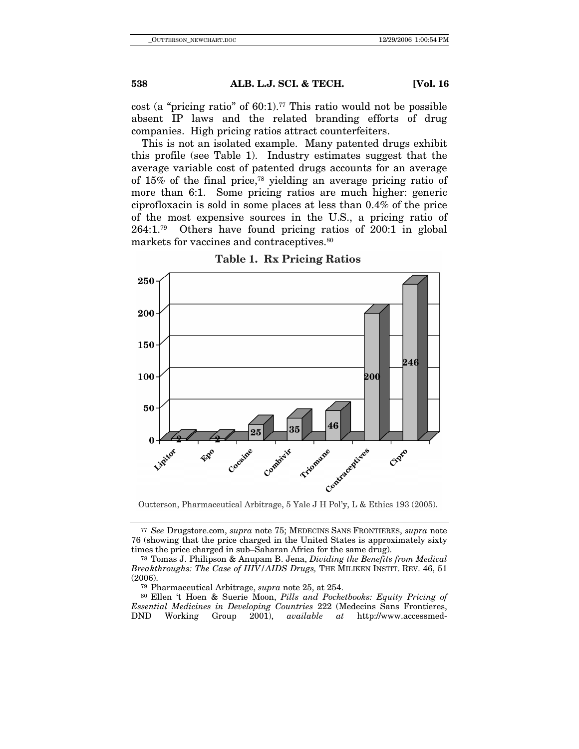cost (a "pricing ratio" of  $60:1$ ).<sup>77</sup> This ratio would not be possible absent IP laws and the related branding efforts of drug companies. High pricing ratios attract counterfeiters.

This is not an isolated example. Many patented drugs exhibit this profile (see Table 1). Industry estimates suggest that the average variable cost of patented drugs accounts for an average of 15% of the final price,78 yielding an average pricing ratio of more than 6:1. Some pricing ratios are much higher: generic ciprofloxacin is sold in some places at less than 0.4% of the price of the most expensive sources in the U.S., a pricing ratio of 264:1.79 Others have found pricing ratios of 200:1 in global markets for vaccines and contraceptives.<sup>80</sup>



**Table 1. Rx Pricing Ratios** 

Outterson, Pharmaceutical Arbitrage, 5 Yale J H Pol'y, L & Ethics 193 (2005).

<sup>77</sup> *See* Drugstore.com, *supra* note 75; MEDECINS SANS FRONTIERES, *supra* note 76 (showing that the price charged in the United States is approximately sixty times the price charged in sub–Saharan Africa for the same drug).

<sup>78</sup> Tomas J. Philipson & Anupam B. Jena, *Dividing the Benefits from Medical Breakthroughs: The Case of HIV/AIDS Drugs,* THE MILIKEN INSTIT. REV. 46, 51 (2006). 79 Pharmaceutical Arbitrage, *supra* note 25, at 254. 80 Ellen 't Hoen & Suerie Moon, *Pills and Pocketbooks: Equity Pricing of* 

*Essential Medicines in Developing Countries* 222 (Medecins Sans Frontieres, DND Working Group 2001), *available at* http://www.accessmed-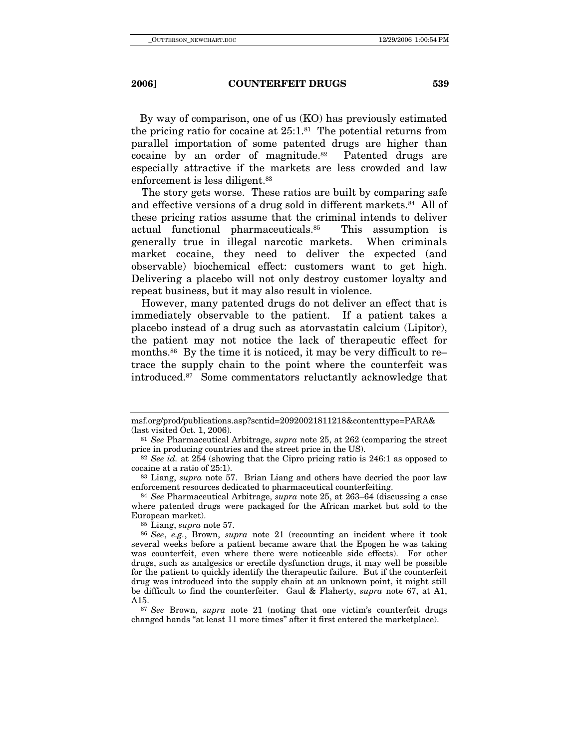By way of comparison, one of us (KO) has previously estimated the pricing ratio for cocaine at  $25:1.^{81}$  The potential returns from parallel importation of some patented drugs are higher than cocaine by an order of magnitude.82 Patented drugs are especially attractive if the markets are less crowded and law enforcement is less diligent.83

The story gets worse. These ratios are built by comparing safe and effective versions of a drug sold in different markets.84 All of these pricing ratios assume that the criminal intends to deliver actual functional pharmaceuticals.85 This assumption is generally true in illegal narcotic markets. When criminals market cocaine, they need to deliver the expected (and observable) biochemical effect: customers want to get high. Delivering a placebo will not only destroy customer loyalty and repeat business, but it may also result in violence.

However, many patented drugs do not deliver an effect that is immediately observable to the patient. If a patient takes a placebo instead of a drug such as atorvastatin calcium (Lipitor), the patient may not notice the lack of therapeutic effect for months.<sup>86</sup> By the time it is noticed, it may be very difficult to re– trace the supply chain to the point where the counterfeit was introduced.87 Some commentators reluctantly acknowledge that

<sup>85</sup> Liang, *supra* note 57.

msf.org/prod/publications.asp?scntid=20920021811218&contenttype=PARA&

<sup>&</sup>lt;sup>81</sup> *See* Pharmaceutical Arbitrage, *supra* note 25, at 262 (comparing the street price in producing countries and the street price in the US).

<sup>&</sup>lt;sup>82</sup> See id. at 254 (showing that the Cipro pricing ratio is 246:1 as opposed to cocaine at a ratio of 25:1). 83 Liang, *supra* note 57. Brian Liang and others have decried the poor law

enforcement resources dedicated to pharmaceutical counterfeiting. 84 *See* Pharmaceutical Arbitrage, *supra* note 25, at 263–64 (discussing a case

where patented drugs were packaged for the African market but sold to the European market).

<sup>86</sup> *See*, *e.g.*, Brown, *supra* note 21 (recounting an incident where it took several weeks before a patient became aware that the Epogen he was taking was counterfeit, even where there were noticeable side effects). For other drugs, such as analgesics or erectile dysfunction drugs, it may well be possible for the patient to quickly identify the therapeutic failure. But if the counterfeit drug was introduced into the supply chain at an unknown point, it might still be difficult to find the counterfeiter. Gaul & Flaherty, *supra* note 67, at A1, A15. 87 *See* Brown, *supra* note 21 (noting that one victim's counterfeit drugs

changed hands "at least 11 more times" after it first entered the marketplace).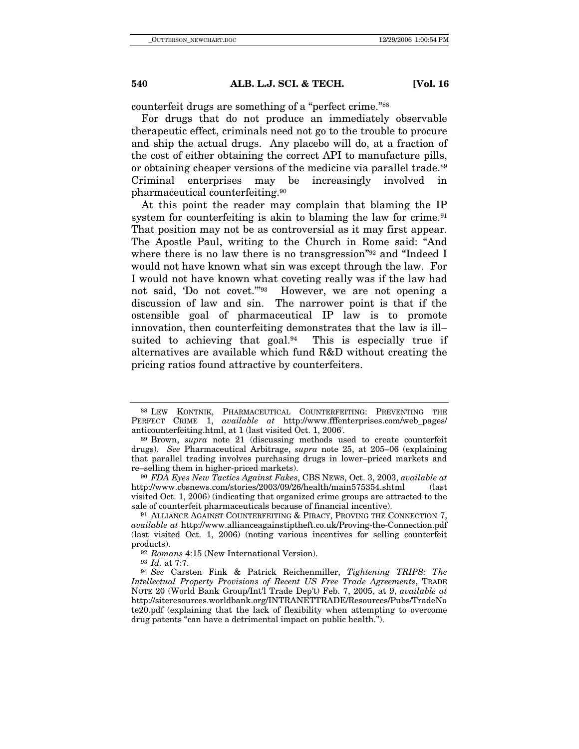counterfeit drugs are something of a "perfect crime."88

For drugs that do not produce an immediately observable therapeutic effect, criminals need not go to the trouble to procure and ship the actual drugs. Any placebo will do, at a fraction of the cost of either obtaining the correct API to manufacture pills, or obtaining cheaper versions of the medicine via parallel trade.<sup>89</sup> Criminal enterprises may be increasingly involved in pharmaceutical counterfeiting.90

At this point the reader may complain that blaming the IP system for counterfeiting is akin to blaming the law for crime. $91$ That position may not be as controversial as it may first appear. The Apostle Paul, writing to the Church in Rome said: "And where there is no law there is no transgression<sup>"92</sup> and "Indeed I would not have known what sin was except through the law. For I would not have known what coveting really was if the law had not said, 'Do not covet.'"93 However, we are not opening a discussion of law and sin. The narrower point is that if the ostensible goal of pharmaceutical IP law is to promote innovation, then counterfeiting demonstrates that the law is ill– suited to achieving that goal. $94$  This is especially true if alternatives are available which fund R&D without creating the pricing ratios found attractive by counterfeiters.

<sup>88</sup> LEW KONTNIK, PHARMACEUTICAL COUNTERFEITING: PREVENTING THE PERFECT CRIME 1, *available at* http://www.fffenterprises.com/web\_pages/ anticounterfeiting.html, at 1 (last visited Oct. 1, 2006)

<sup>. 89</sup> Brown, *supra* note 21 (discussing methods used to create counterfeit drugs). *See* Pharmaceutical Arbitrage, *supra* note 25, at 205–06 (explaining that parallel trading involves purchasing drugs in lower–priced markets and re–selling them in higher-priced markets).

<sup>90</sup> *FDA Eyes New Tactics Against Fakes*, CBS NEWS, Oct. 3, 2003, *available at* http://www.cbsnews.com/stories/2003/09/26/health/main575354.shtml (last visited Oct. 1, 2006) (indicating that organized crime groups are attracted to the sale of counterfeit pharmaceuticals because of financial incentive).<br><sup>91</sup> ALLIANCE AGAINST COUNTERFEITING & PIRACY, PROVING THE CONNECTION 7,

*available at* http://www.allianceagainstiptheft.co.uk/Proving-the-Connection.pdf (last visited Oct. 1, 2006) (noting various incentives for selling counterfeit products).<br><sup>92</sup> *Romans* 4:15 (New International Version).<br><sup>93</sup> *Id.* at 7:7.<br><sup>94</sup> *See* Carsten Fink & Patrick Reichenmiller, *Tightening TRIPS: The* 

*Intellectual Property Provisions of Recent US Free Trade Agreements*, TRADE NOTE 20 (World Bank Group/Int'l Trade Dep't) Feb. 7, 2005, at 9, *available at* http://siteresources.worldbank.org/INTRANETTRADE/Resources/Pubs/TradeNo te20.pdf (explaining that the lack of flexibility when attempting to overcome drug patents "can have a detrimental impact on public health.").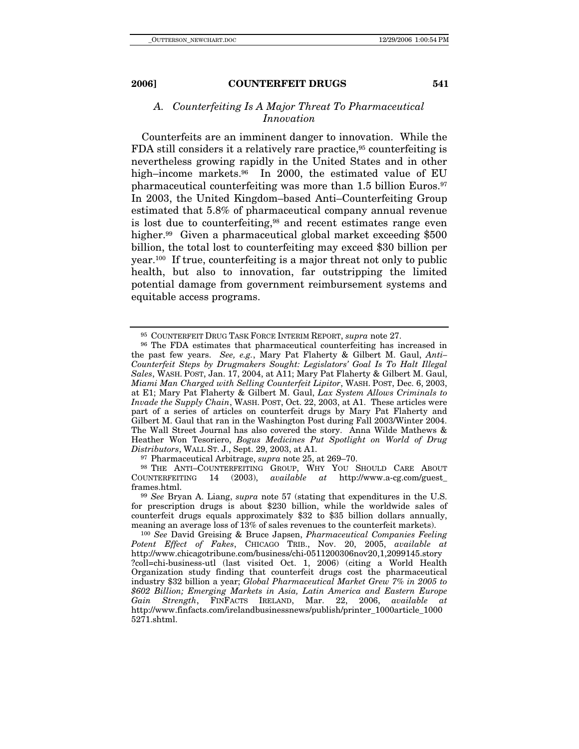## *A. Counterfeiting Is A Major Threat To Pharmaceutical Innovation*

Counterfeits are an imminent danger to innovation. While the FDA still considers it a relatively rare practice,<sup>95</sup> counterfeiting is nevertheless growing rapidly in the United States and in other high–income markets.<sup>96</sup> In 2000, the estimated value of EU pharmaceutical counterfeiting was more than 1.5 billion Euros.97 In 2003, the United Kingdom–based Anti–Counterfeiting Group estimated that 5.8% of pharmaceutical company annual revenue is lost due to counterfeiting,<sup>98</sup> and recent estimates range even higher.<sup>99</sup> Given a pharmaceutical global market exceeding \$500 billion, the total lost to counterfeiting may exceed \$30 billion per year.100 If true, counterfeiting is a major threat not only to public health, but also to innovation, far outstripping the limited potential damage from government reimbursement systems and equitable access programs.

<sup>95</sup> COUNTERFEIT DRUG TASK FORCE INTERIM REPORT, *supra* note 27. 96 The FDA estimates that pharmaceutical counterfeiting has increased in the past few years. *See, e.g.*, Mary Pat Flaherty & Gilbert M. Gaul, *Anti– Counterfeit Steps by Drugmakers Sought: Legislators' Goal Is To Halt Illegal Sales*, WASH. POST, Jan. 17, 2004, at A11; Mary Pat Flaherty & Gilbert M. Gaul, *Miami Man Charged with Selling Counterfeit Lipitor*, WASH. POST, Dec. 6, 2003, at E1; Mary Pat Flaherty & Gilbert M. Gaul, *Lax System Allows Criminals to Invade the Supply Chain*, WASH. POST, Oct. 22, 2003, at A1. These articles were part of a series of articles on counterfeit drugs by Mary Pat Flaherty and Gilbert M. Gaul that ran in the Washington Post during Fall 2003/Winter 2004. The Wall Street Journal has also covered the story. Anna Wilde Mathews & Heather Won Tesoriero, *Bogus Medicines Put Spotlight on World of Drug Distributors*, WALL ST. J., Sept. 29, 2003, at A1. 97 Pharmaceutical Arbitrage, *supra* note 25, at 269–70.

<sup>&</sup>lt;sup>98</sup> THE ANTI–COUNTERFEITING GROUP, WHY YOU SHOULD CARE ABOUT DUNTERFEITING 14 (2003), *available at* http://www.a-cg.com/guest\_ COUNTERFEITING 14 (2003), *available at* http://www.a-cg.com/guest\_ frames.html. 99 *See* Bryan A. Liang, *supra* note 57 (stating that expenditures in the U.S.

for prescription drugs is about \$230 billion, while the worldwide sales of counterfeit drugs equals approximately \$32 to \$35 billion dollars annually, meaning an average loss of 13% of sales revenues to the counterfeit markets). 100 *See* David Greising & Bruce Japsen, *Pharmaceutical Companies Feeling* 

*Potent Effect of Fakes*, CHICAGO TRIB., Nov. 20, 2005, *available at* http://www.chicagotribune.com/business/chi-0511200306nov20,1,2099145.story ?coll=chi-business-utl (last visited Oct. 1, 2006) (citing a World Health Organization study finding that counterfeit drugs cost the pharmaceutical industry \$32 billion a year; *Global Pharmaceutical Market Grew 7% in 2005 to \$602 Billion; Emerging Markets in Asia, Latin America and Eastern Europe Gain Strength*, FINFACTS IRELAND, Mar. 22, 2006, *available at* http://www.finfacts.com/irelandbusinessnews/publish/printer\_1000article\_1000 5271.shtml.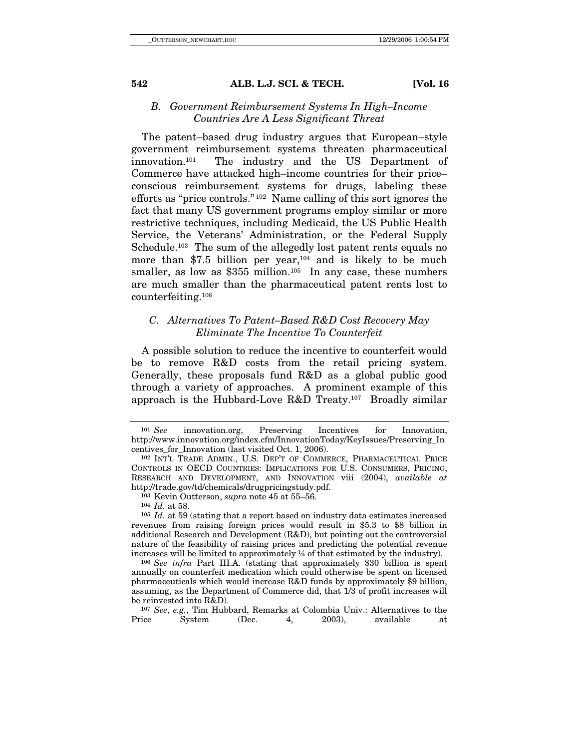## *B. Government Reimbursement Systems In High–Income Countries Are A Less Significant Threat*

The patent–based drug industry argues that European–style government reimbursement systems threaten pharmaceutical innovation.101 The industry and the US Department of Commerce have attacked high–income countries for their price– conscious reimbursement systems for drugs, labeling these efforts as "price controls." 102 Name calling of this sort ignores the fact that many US government programs employ similar or more restrictive techniques, including Medicaid, the US Public Health Service, the Veterans' Administration, or the Federal Supply Schedule.<sup>103</sup> The sum of the allegedly lost patent rents equals no more than \$7.5 billion per year, $104$  and is likely to be much smaller, as low as  $$355$  million.<sup>105</sup> In any case, these numbers are much smaller than the pharmaceutical patent rents lost to counterfeiting.106

## *C. Alternatives To Patent–Based R&D Cost Recovery May Eliminate The Incentive To Counterfeit*

A possible solution to reduce the incentive to counterfeit would be to remove R&D costs from the retail pricing system. Generally, these proposals fund R&D as a global public good through a variety of approaches. A prominent example of this approach is the Hubbard-Love R&D Treaty.107 Broadly similar

revenues from raising foreign prices would result in \$5.3 to \$8 billion in additional Research and Development (R&D), but pointing out the controversial nature of the feasibility of raising prices and predicting the potential revenue increases will be limited to approximately ¼ of that estimated by the industry). 106 *See infra* Part III.A. (stating that approximately \$30 billion is spent

annually on counterfeit medication which could otherwise be spent on licensed pharmaceuticals which would increase R&D funds by approximately \$9 billion, assuming, as the Department of Commerce did, that 1/3 of profit increases will be reinvested into R&D). 107 *See*, *e.g.*, Tim Hubbard, Remarks at Colombia Univ.: Alternatives to the

Price System (Dec. 4, 2003), available at

<sup>101</sup> *See* innovation.org, Preserving Incentives for Innovation, http://www.innovation.org/index.cfm/InnovationToday/KeyIssues/Preserving\_In centives\_for\_Innovation (last visited Oct. 1, 2006). 102 INT'L TRADE ADMIN., U.S. DEP'T OF COMMERCE, PHARMACEUTICAL PRICE

CONTROLS IN OECD COUNTRIES: IMPLICATIONS FOR U.S. CONSUMERS, PRICING, RESEARCH AND DEVELOPMENT, AND INNOVATION viii (2004), *available at* http://trade.gov/td/chemicals/drugpricingstudy.pdf.<br><sup>103</sup> Kevin Outterson, *supra* note 45 at 55–56.<br><sup>104</sup> *Id.* at 58.<br><sup>105</sup> *Id.* at 59 (stating that a report based on industry data estimates increased